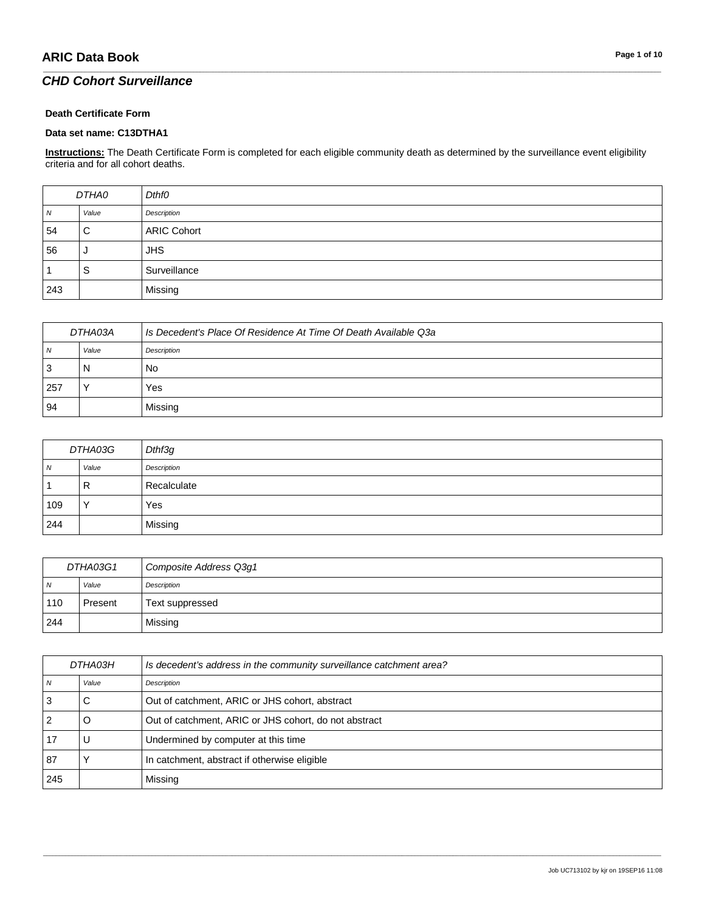### *CHD Cohort Surveillance*

#### **Death Certificate Form**

#### **Data set name: C13DTHA1**

**Instructions:** The Death Certificate Form is completed for each eligible community death as determined by the surveillance event eligibility criteria and for all cohort deaths.

\_\_\_\_\_\_\_\_\_\_\_\_\_\_\_\_\_\_\_\_\_\_\_\_\_\_\_\_\_\_\_\_\_\_\_\_\_\_\_\_\_\_\_\_\_\_\_\_\_\_\_\_\_\_\_\_\_\_\_\_\_\_\_\_\_\_\_\_\_\_\_\_\_\_\_\_\_\_\_\_\_\_\_\_\_\_\_\_\_\_\_\_\_\_\_\_\_\_\_\_\_\_\_\_\_\_\_\_\_\_\_\_\_\_\_\_\_\_\_\_\_\_\_\_\_\_\_\_\_\_\_\_\_\_\_\_\_\_\_\_\_\_\_\_\_\_\_\_\_\_\_\_\_\_\_\_\_\_\_\_\_\_\_\_\_\_\_\_\_\_\_\_\_\_\_\_\_\_\_\_\_\_\_\_\_\_\_\_\_\_\_\_\_

| DTHA0            |       | Dthf0              |
|------------------|-------|--------------------|
| $\boldsymbol{N}$ | Value | Description        |
| 54               | C     | <b>ARIC Cohort</b> |
| 56               | J     | <b>JHS</b>         |
|                  | S     | Surveillance       |
| 243              |       | Missing            |

| DTHA03A |       | Is Decedent's Place Of Residence At Time Of Death Available Q3a |
|---------|-------|-----------------------------------------------------------------|
| N       | Value | Description                                                     |
| 3       | N     | No                                                              |
| 257     |       | Yes                                                             |
| 94      |       | Missing                                                         |

| DTHA03G        |       | Dthf3g      |
|----------------|-------|-------------|
| $\overline{N}$ | Value | Description |
|                | R     | Recalculate |
| 109            |       | Yes         |
| 244            |       | Missing     |

| DTHA03G1       |         | Composite Address Q3g1 |
|----------------|---------|------------------------|
| N <sub>N</sub> | Value   | Description            |
| 110            | Present | Text suppressed        |
| 244            |         | Missing                |

| DTHA03H |       | Is decedent's address in the community surveillance catchment area? |
|---------|-------|---------------------------------------------------------------------|
|         | Value | Description                                                         |
|         | С     | Out of catchment, ARIC or JHS cohort, abstract                      |
|         | O     | Out of catchment, ARIC or JHS cohort, do not abstract               |
|         |       | Undermined by computer at this time                                 |
| 87      |       | In catchment, abstract if otherwise eligible                        |
| 245     |       | Missing                                                             |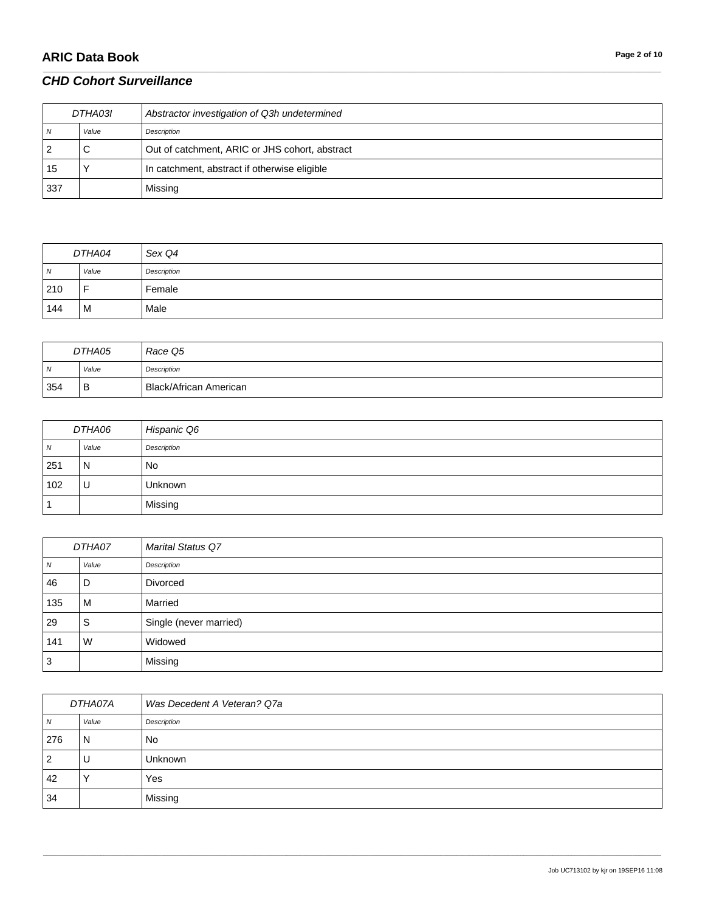# **ARIC Data Book Page 2 of 10**

### *CHD Cohort Surveillance*

| DTHA03I |       | Abstractor investigation of Q3h undetermined   |
|---------|-------|------------------------------------------------|
| N       | Value | Description                                    |
| 2       | С     | Out of catchment, ARIC or JHS cohort, abstract |
| 15      |       | In catchment, abstract if otherwise eligible   |
| 337     |       | Missing                                        |

\_\_\_\_\_\_\_\_\_\_\_\_\_\_\_\_\_\_\_\_\_\_\_\_\_\_\_\_\_\_\_\_\_\_\_\_\_\_\_\_\_\_\_\_\_\_\_\_\_\_\_\_\_\_\_\_\_\_\_\_\_\_\_\_\_\_\_\_\_\_\_\_\_\_\_\_\_\_\_\_\_\_\_\_\_\_\_\_\_\_\_\_\_\_\_\_\_\_\_\_\_\_\_\_\_\_\_\_\_\_\_\_\_\_\_\_\_\_\_\_\_\_\_\_\_\_\_\_\_\_\_\_\_\_\_\_\_\_\_\_\_\_\_\_\_\_\_\_\_\_\_\_\_\_\_\_\_\_\_\_\_\_\_\_\_\_\_\_\_\_\_\_\_\_\_\_\_\_\_\_\_\_\_\_\_\_\_\_\_\_\_\_\_

| DTHA04 |       | Sex Q4      |
|--------|-------|-------------|
| N      | Value | Description |
| 210    | -     | Female      |
| 144    | M     | Male        |

| DTHA05 |       | Race Q5                |
|--------|-------|------------------------|
| N      | Value | Description            |
| 354    | B     | Black/African American |

| DTHA06         |              | Hispanic Q6    |
|----------------|--------------|----------------|
| $\overline{N}$ | Value        | Description    |
| 251            | $\mathsf{N}$ | <b>No</b>      |
| 102            | U            | <b>Unknown</b> |
|                |              | Missing        |

| DTHA07 |       | <b>Marital Status Q7</b> |
|--------|-------|--------------------------|
| N      | Value | Description              |
| 46     | D     | Divorced                 |
| 135    | м     | Married                  |
| 29     | S     | Single (never married)   |
| 141    | W     | Widowed                  |
| 3      |       | Missing                  |

| DTHA07A  |         | Was Decedent A Veteran? Q7a |
|----------|---------|-----------------------------|
| <b>N</b> | Value   | Description                 |
| 276      | N       | No                          |
| 2        | U       | <b>Unknown</b>              |
| 42       | $\cdot$ | Yes                         |
| 34       |         | Missing                     |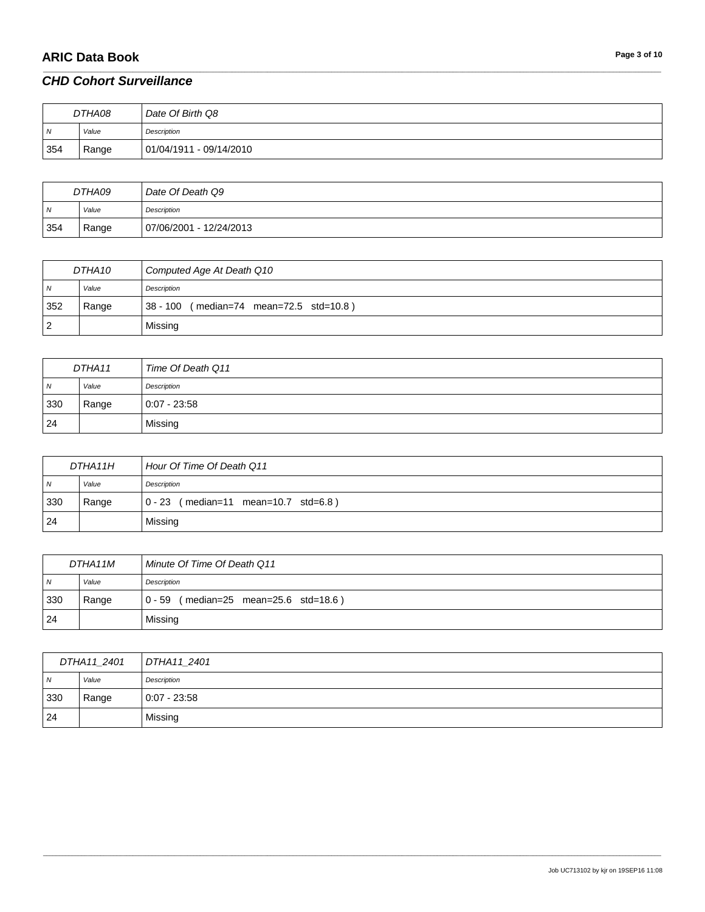# **ARIC Data Book Page 3 of 10**

#### *CHD Cohort Surveillance*

| DTHA08         |       | Date Of Birth Q8        |
|----------------|-------|-------------------------|
| $\overline{N}$ | Value | Description             |
| 354            | Range | 01/04/1911 - 09/14/2010 |

\_\_\_\_\_\_\_\_\_\_\_\_\_\_\_\_\_\_\_\_\_\_\_\_\_\_\_\_\_\_\_\_\_\_\_\_\_\_\_\_\_\_\_\_\_\_\_\_\_\_\_\_\_\_\_\_\_\_\_\_\_\_\_\_\_\_\_\_\_\_\_\_\_\_\_\_\_\_\_\_\_\_\_\_\_\_\_\_\_\_\_\_\_\_\_\_\_\_\_\_\_\_\_\_\_\_\_\_\_\_\_\_\_\_\_\_\_\_\_\_\_\_\_\_\_\_\_\_\_\_\_\_\_\_\_\_\_\_\_\_\_\_\_\_\_\_\_\_\_\_\_\_\_\_\_\_\_\_\_\_\_\_\_\_\_\_\_\_\_\_\_\_\_\_\_\_\_\_\_\_\_\_\_\_\_\_\_\_\_\_\_\_\_

| DTHA09         |       | Date Of Death Q9        |
|----------------|-------|-------------------------|
| $\overline{N}$ | Value | Description             |
| 354            | Range | 07/06/2001 - 12/24/2013 |

| DTHA10         |       | Computed Age At Death Q10                    |
|----------------|-------|----------------------------------------------|
| N <sub>N</sub> | Value | Description                                  |
| 352            | Range | (median=74 mean=72.5 std=10.8)<br>$38 - 100$ |
| $\overline{2}$ |       | Missing                                      |

| DTHA11         |       | Time Of Death Q11 |
|----------------|-------|-------------------|
| $\overline{N}$ | Value | Description       |
| 330            | Range | $0:07 - 23:58$    |
| 24             |       | Missing           |

| DTHA11H        |       | Hour Of Time Of Death Q11              |
|----------------|-------|----------------------------------------|
| $\overline{N}$ | Value | Description                            |
| 330            | Range | $0 - 23$ (median=11 mean=10.7 std=6.8) |
| 24             |       | Missing                                |

| DTHA11M        |       | Minute Of Time Of Death Q11                                  |
|----------------|-------|--------------------------------------------------------------|
| $\overline{M}$ | Value | Description                                                  |
| 330            | Range | $(median=25 \text{ mean}=25.6 \text{ std}=18.6)$<br>$0 - 59$ |
| 24             |       | Missing                                                      |

| DTHA11_2401    |       | DTHA11_2401    |
|----------------|-------|----------------|
| $\overline{N}$ | Value | Description    |
| 330            | Range | $0:07 - 23:58$ |
| 24             |       | Missing        |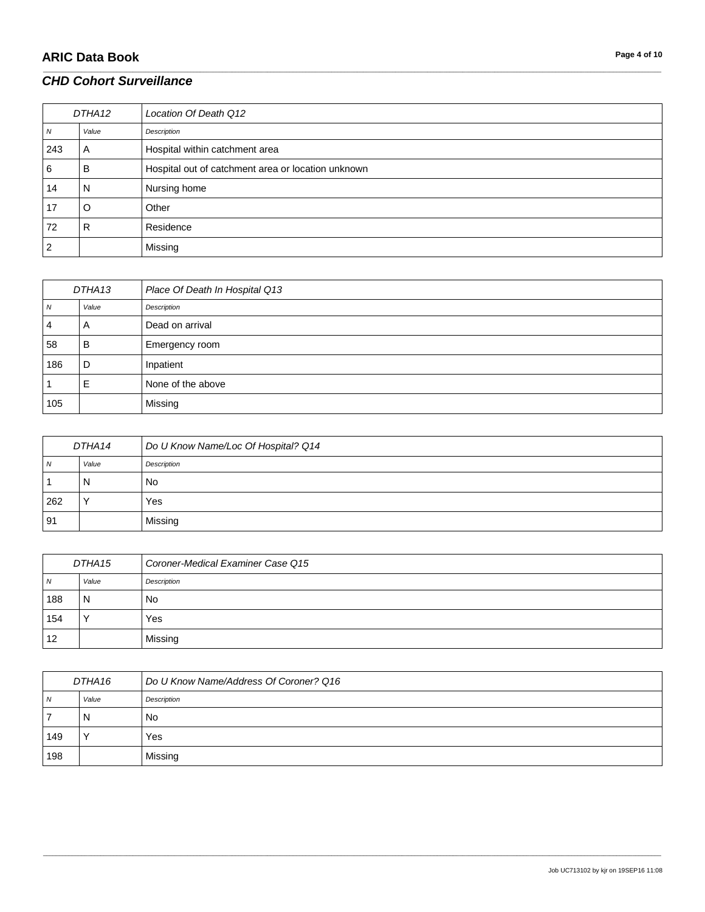# **ARIC Data Book Page 4 of 10**

| DTHA12 |       | Location Of Death Q12                              |
|--------|-------|----------------------------------------------------|
| N      | Value | Description                                        |
| 243    | A     | Hospital within catchment area                     |
| 6      | в     | Hospital out of catchment area or location unknown |
| 14     | N     | Nursing home                                       |
| 17     | O     | Other                                              |
| 72     | R     | Residence                                          |
| 2      |       | Missing                                            |

\_\_\_\_\_\_\_\_\_\_\_\_\_\_\_\_\_\_\_\_\_\_\_\_\_\_\_\_\_\_\_\_\_\_\_\_\_\_\_\_\_\_\_\_\_\_\_\_\_\_\_\_\_\_\_\_\_\_\_\_\_\_\_\_\_\_\_\_\_\_\_\_\_\_\_\_\_\_\_\_\_\_\_\_\_\_\_\_\_\_\_\_\_\_\_\_\_\_\_\_\_\_\_\_\_\_\_\_\_\_\_\_\_\_\_\_\_\_\_\_\_\_\_\_\_\_\_\_\_\_\_\_\_\_\_\_\_\_\_\_\_\_\_\_\_\_\_\_\_\_\_\_\_\_\_\_\_\_\_\_\_\_\_\_\_\_\_\_\_\_\_\_\_\_\_\_\_\_\_\_\_\_\_\_\_\_\_\_\_\_\_\_\_

| DTHA13 |       | Place Of Death In Hospital Q13 |
|--------|-------|--------------------------------|
| N      | Value | Description                    |
| 4      | A     | Dead on arrival                |
| 58     | в     | Emergency room                 |
| 186    | D     | Inpatient                      |
|        | E     | None of the above              |
| 105    |       | Missing                        |

| DTHA14 |       | Do U Know Name/Loc Of Hospital? Q14 |
|--------|-------|-------------------------------------|
| N      | Value | Description                         |
|        | N     | No                                  |
| 262    |       | Yes                                 |
| 91     |       | Missing                             |

| DTHA15 |       | Coroner-Medical Examiner Case Q15 |
|--------|-------|-----------------------------------|
| N      | Value | Description                       |
| 188    | N     | No                                |
| 154    |       | Yes                               |
| 12     |       | Missing                           |

| DTHA16 |       | Do U Know Name/Address Of Coroner? Q16 |
|--------|-------|----------------------------------------|
| N      | Value | Description                            |
|        | N     | No.                                    |
| 149    |       | Yes                                    |
| 198    |       | Missing                                |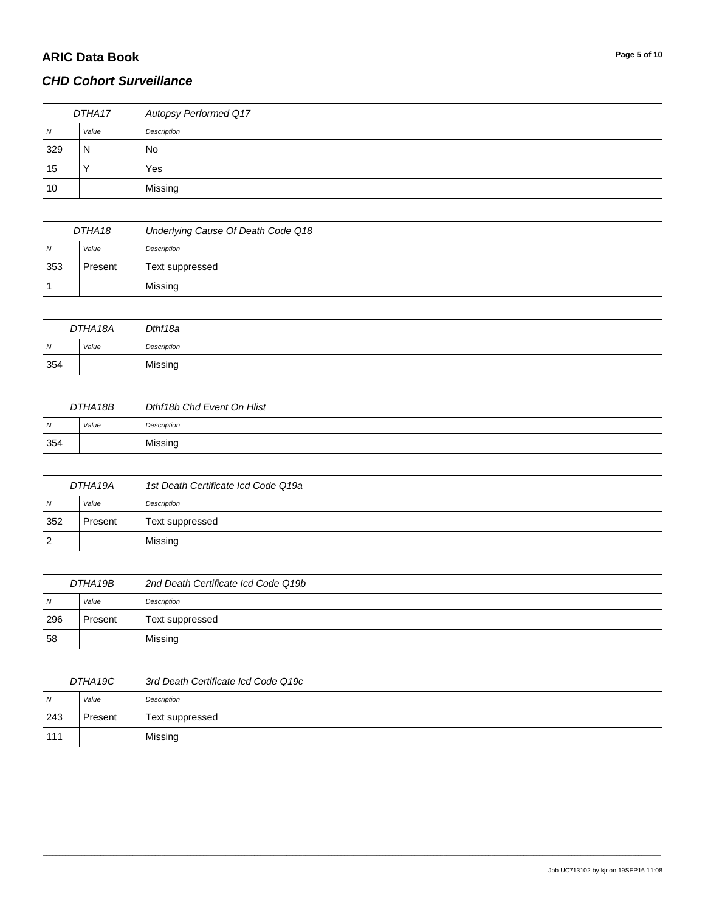# **ARIC Data Book Page 5 of 10**

### *CHD Cohort Surveillance*

| DTHA17 |       | Autopsy Performed Q17 |
|--------|-------|-----------------------|
| N      | Value | Description           |
| 329    | N     | <b>No</b>             |
| 15     |       | Yes                   |
| 10     |       | Missing               |

\_\_\_\_\_\_\_\_\_\_\_\_\_\_\_\_\_\_\_\_\_\_\_\_\_\_\_\_\_\_\_\_\_\_\_\_\_\_\_\_\_\_\_\_\_\_\_\_\_\_\_\_\_\_\_\_\_\_\_\_\_\_\_\_\_\_\_\_\_\_\_\_\_\_\_\_\_\_\_\_\_\_\_\_\_\_\_\_\_\_\_\_\_\_\_\_\_\_\_\_\_\_\_\_\_\_\_\_\_\_\_\_\_\_\_\_\_\_\_\_\_\_\_\_\_\_\_\_\_\_\_\_\_\_\_\_\_\_\_\_\_\_\_\_\_\_\_\_\_\_\_\_\_\_\_\_\_\_\_\_\_\_\_\_\_\_\_\_\_\_\_\_\_\_\_\_\_\_\_\_\_\_\_\_\_\_\_\_\_\_\_\_\_

| DTHA18   |         | Underlying Cause Of Death Code Q18 |
|----------|---------|------------------------------------|
| <b>N</b> | Value   | Description                        |
| 353      | Present | Text suppressed                    |
|          |         | Missing                            |

| DTHA18A    |       | Dthf18a     |
|------------|-------|-------------|
| $\sqrt{N}$ | Value | Description |
| 354        |       | Missing     |

| DTHA18B        |       | Dthf18b Chd Event On Hlist |
|----------------|-------|----------------------------|
| $\overline{M}$ | Value | Description                |
| 354            |       | Missing                    |

| DTHA 19A       |         | 1st Death Certificate Icd Code Q19a |
|----------------|---------|-------------------------------------|
| $\overline{N}$ | Value   | Description                         |
| 352            | Present | Text suppressed                     |
| $\overline{2}$ |         | Missing                             |

| DTHA19B        |         | 2nd Death Certificate Icd Code Q19b |
|----------------|---------|-------------------------------------|
| $\overline{N}$ | Value   | Description                         |
| 296            | Present | Text suppressed                     |
| 58             |         | Missing                             |

| DTHA19C        |         | 3rd Death Certificate Icd Code Q19c |
|----------------|---------|-------------------------------------|
| N <sub>N</sub> | Value   | Description                         |
| 243            | Present | Text suppressed                     |
| 111            |         | Missing                             |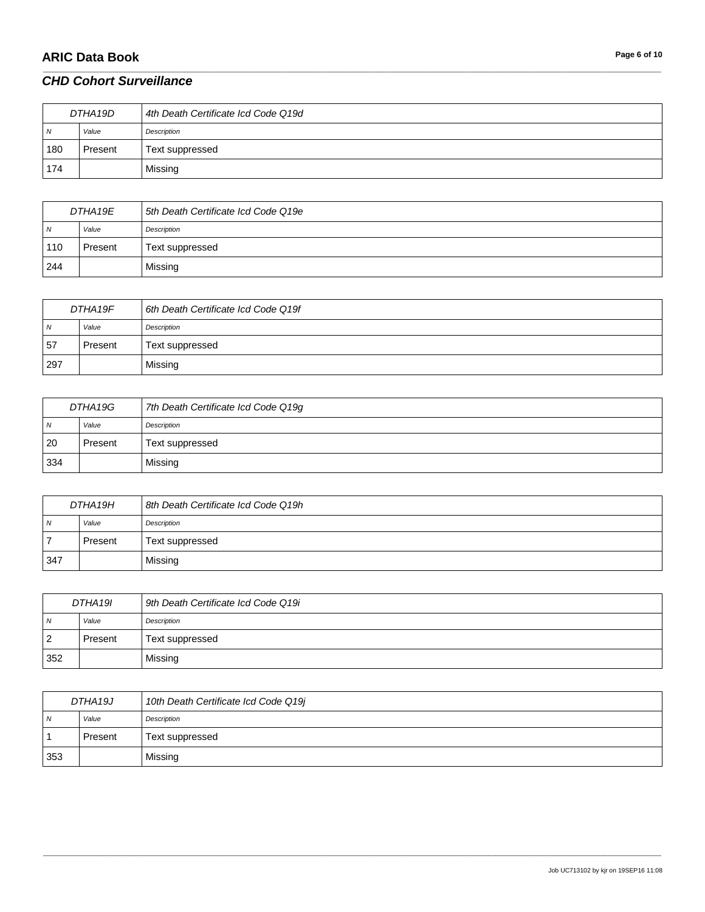# **ARIC Data Book Page 6** of 10

#### *CHD Cohort Surveillance*

| DTHA19D        |         | 4th Death Certificate Icd Code Q19d |
|----------------|---------|-------------------------------------|
| $\overline{N}$ | Value   | Description                         |
| 180            | Present | Text suppressed                     |
| 174            |         | Missing                             |

\_\_\_\_\_\_\_\_\_\_\_\_\_\_\_\_\_\_\_\_\_\_\_\_\_\_\_\_\_\_\_\_\_\_\_\_\_\_\_\_\_\_\_\_\_\_\_\_\_\_\_\_\_\_\_\_\_\_\_\_\_\_\_\_\_\_\_\_\_\_\_\_\_\_\_\_\_\_\_\_\_\_\_\_\_\_\_\_\_\_\_\_\_\_\_\_\_\_\_\_\_\_\_\_\_\_\_\_\_\_\_\_\_\_\_\_\_\_\_\_\_\_\_\_\_\_\_\_\_\_\_\_\_\_\_\_\_\_\_\_\_\_\_\_\_\_\_\_\_\_\_\_\_\_\_\_\_\_\_\_\_\_\_\_\_\_\_\_\_\_\_\_\_\_\_\_\_\_\_\_\_\_\_\_\_\_\_\_\_\_\_\_\_

| DTHA19E        |         | 5th Death Certificate Icd Code Q19e |
|----------------|---------|-------------------------------------|
| $\overline{N}$ | Value   | Description                         |
| 110            | Present | Text suppressed                     |
| 244            |         | Missing                             |

| DTHA19F        |         | 6th Death Certificate Icd Code Q19f |
|----------------|---------|-------------------------------------|
| $\overline{N}$ | Value   | Description                         |
| 57             | Present | Text suppressed                     |
| 297            |         | Missing                             |

| DTHA19G        |         | 7th Death Certificate Icd Code Q19g |
|----------------|---------|-------------------------------------|
| $\overline{N}$ | Value   | Description                         |
| 20             | Present | Text suppressed                     |
| 334            |         | Missing                             |

| DTHA19H        |         | 8th Death Certificate Icd Code Q19h |
|----------------|---------|-------------------------------------|
| N <sub>N</sub> | Value   | Description                         |
| 7              | Present | Text suppressed                     |
| 347            |         | Missing                             |

| DTHA19I        |         | 9th Death Certificate Icd Code Q19i |
|----------------|---------|-------------------------------------|
| $\overline{N}$ | Value   | Description                         |
| <u>  2</u>     | Present | Text suppressed                     |
| 352            |         | Missing                             |

| DTHA19J |         | 10th Death Certificate Icd Code Q19j |
|---------|---------|--------------------------------------|
| N       | Value   | Description                          |
|         | Present | Text suppressed                      |
| 353     |         | Missing                              |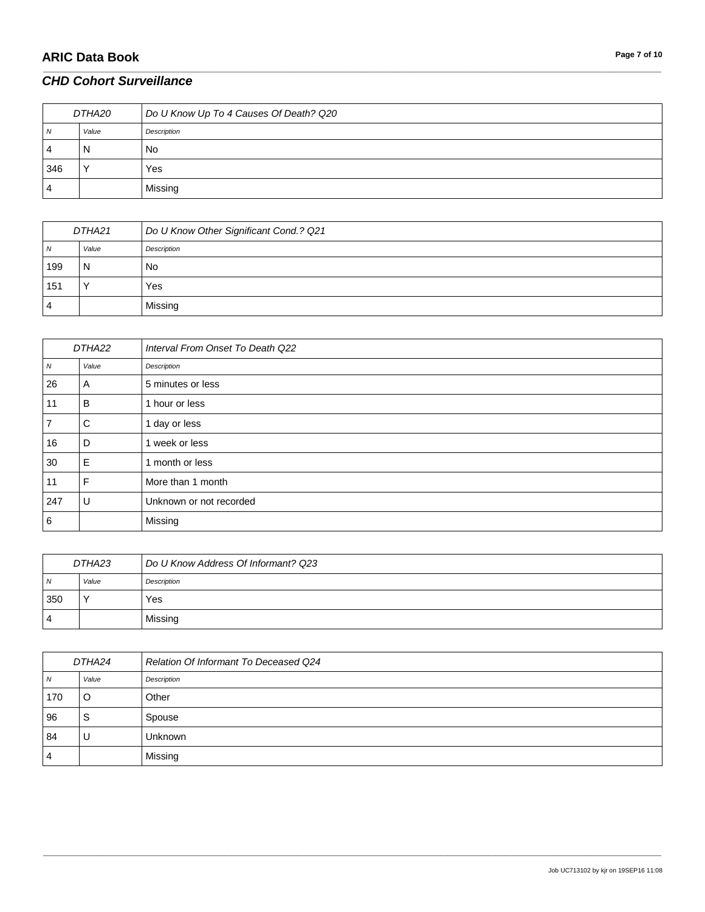# **ARIC Data Book Page 7** of 10

### *CHD Cohort Surveillance*

| DTHA20 |       | Do U Know Up To 4 Causes Of Death? Q20 |
|--------|-------|----------------------------------------|
| N      | Value | Description                            |
| 4      | N     | No.                                    |
| 346    |       | Yes                                    |
| 4      |       | Missing                                |

\_\_\_\_\_\_\_\_\_\_\_\_\_\_\_\_\_\_\_\_\_\_\_\_\_\_\_\_\_\_\_\_\_\_\_\_\_\_\_\_\_\_\_\_\_\_\_\_\_\_\_\_\_\_\_\_\_\_\_\_\_\_\_\_\_\_\_\_\_\_\_\_\_\_\_\_\_\_\_\_\_\_\_\_\_\_\_\_\_\_\_\_\_\_\_\_\_\_\_\_\_\_\_\_\_\_\_\_\_\_\_\_\_\_\_\_\_\_\_\_\_\_\_\_\_\_\_\_\_\_\_\_\_\_\_\_\_\_\_\_\_\_\_\_\_\_\_\_\_\_\_\_\_\_\_\_\_\_\_\_\_\_\_\_\_\_\_\_\_\_\_\_\_\_\_\_\_\_\_\_\_\_\_\_\_\_\_\_\_\_\_\_\_

| DTHA21       |           | Do U Know Other Significant Cond.? Q21 |
|--------------|-----------|----------------------------------------|
| <sub>N</sub> | Value     | Description                            |
| 199          | N         | No                                     |
| 151          | $\lambda$ | Yes                                    |
| 4            |           | Missing                                |

| DTHA22         |       | Interval From Onset To Death Q22 |
|----------------|-------|----------------------------------|
| N              | Value | Description                      |
| 26             | Α     | 5 minutes or less                |
| 11             | B     | 1 hour or less                   |
| $\overline{7}$ | C     | 1 day or less                    |
| 16             | D     | week or less                     |
| 30             | Е     | 1 month or less                  |
| 11             | F     | More than 1 month                |
| 247            | U     | Unknown or not recorded          |
| 6              |       | Missing                          |

| DTHA23         |       | Do U Know Address Of Informant? Q23 |
|----------------|-------|-------------------------------------|
| N <sub>N</sub> | Value | Description                         |
| 350            |       | Yes                                 |
| 4              |       | Missing                             |

| DTHA24         |       | Relation Of Informant To Deceased Q24 |
|----------------|-------|---------------------------------------|
| N              | Value | Description                           |
| 170            | O     | Other                                 |
| 96             | S     | Spouse                                |
| 84             | U     | <b>Unknown</b>                        |
| $\overline{4}$ |       | Missing                               |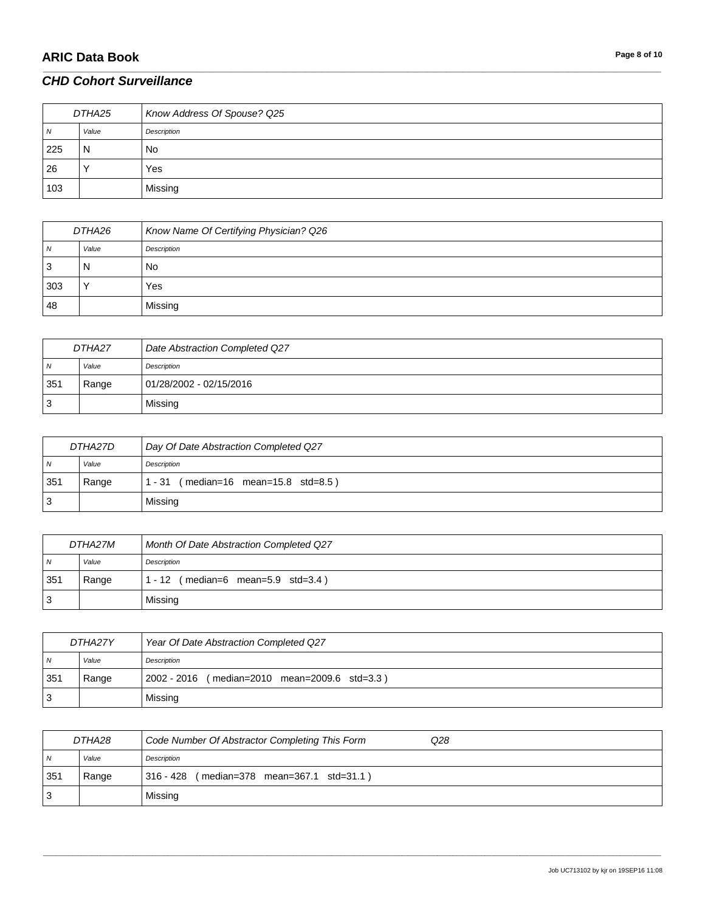# **ARIC Data Book Page 8 of 10**

### *CHD Cohort Surveillance*

| DTHA25 |       | Know Address Of Spouse? Q25 |
|--------|-------|-----------------------------|
| N      | Value | Description                 |
| 225    | N     | <b>No</b>                   |
| 26     |       | Yes                         |
| 103    |       | Missing                     |

\_\_\_\_\_\_\_\_\_\_\_\_\_\_\_\_\_\_\_\_\_\_\_\_\_\_\_\_\_\_\_\_\_\_\_\_\_\_\_\_\_\_\_\_\_\_\_\_\_\_\_\_\_\_\_\_\_\_\_\_\_\_\_\_\_\_\_\_\_\_\_\_\_\_\_\_\_\_\_\_\_\_\_\_\_\_\_\_\_\_\_\_\_\_\_\_\_\_\_\_\_\_\_\_\_\_\_\_\_\_\_\_\_\_\_\_\_\_\_\_\_\_\_\_\_\_\_\_\_\_\_\_\_\_\_\_\_\_\_\_\_\_\_\_\_\_\_\_\_\_\_\_\_\_\_\_\_\_\_\_\_\_\_\_\_\_\_\_\_\_\_\_\_\_\_\_\_\_\_\_\_\_\_\_\_\_\_\_\_\_\_\_\_

| DTHA26       |       | Know Name Of Certifying Physician? Q26 |
|--------------|-------|----------------------------------------|
| $\mathbf{v}$ | Value | Description                            |
| J            | N     | No                                     |
| 303          |       | Yes                                    |
| 48           |       | Missing                                |

| DTHA27 |       | Date Abstraction Completed Q27 |
|--------|-------|--------------------------------|
| N      | Value | Description                    |
| 351    | Range | 01/28/2002 - 02/15/2016        |
| ັ      |       | Missing                        |

| DTHA27D        |       | Day Of Date Abstraction Completed Q27     |
|----------------|-------|-------------------------------------------|
| N <sub>N</sub> | Value | Description                               |
| 351            | Range | $(median=16 mean=15.8 std=8.5)$<br>1 - 31 |
| 3              |       | Missing                                   |

| DTHA27M |       | <b>Month Of Date Abstraction Completed Q27</b> |
|---------|-------|------------------------------------------------|
| N       | Value | Description                                    |
| 351     | Range | $(median=6$ mean=5.9 std=3.4)<br>$1 - 12$      |
| -3      |       | Missing                                        |

| DTHA27Y        |       | Year Of Date Abstraction Completed Q27        |
|----------------|-------|-----------------------------------------------|
| $\overline{N}$ | Value | Description                                   |
| 351            | Range | 2002 - 2016 (median=2010 mean=2009.6 std=3.3) |
| 3 ا            |       | Missing                                       |

| DTHA28         |       | Code Number Of Abstractor Completing This Form<br>Q28 |
|----------------|-------|-------------------------------------------------------|
| $\overline{N}$ | Value | Description                                           |
| 351            | Range | (median=378 mean=367.1 std=31.1)<br>316 - 428         |
| 3              |       | Missing                                               |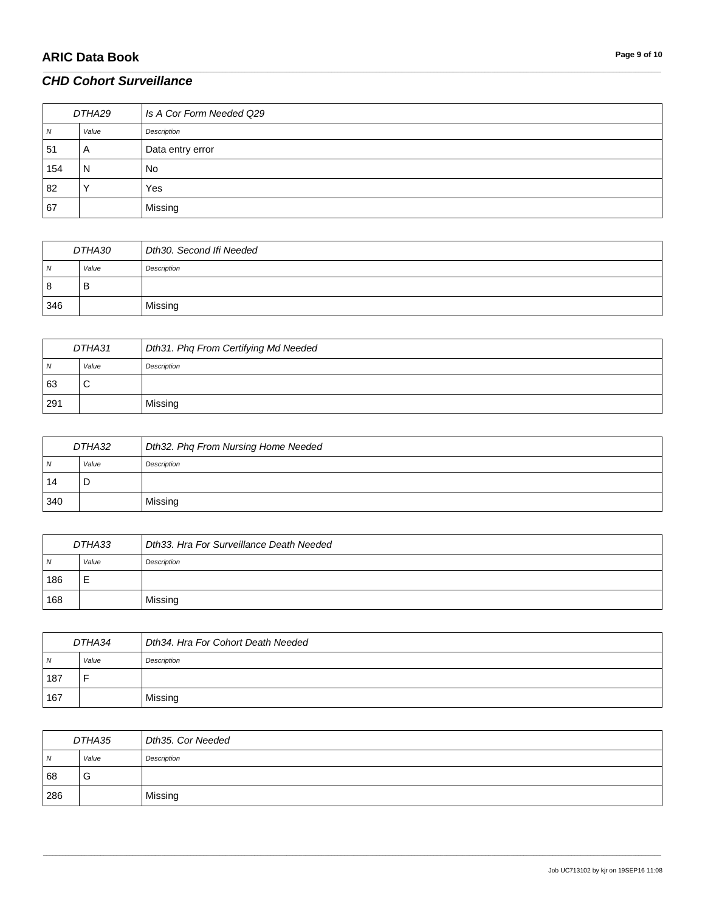### *CHD Cohort Surveillance*

| DTHA29 |       | Is A Cor Form Needed Q29 |
|--------|-------|--------------------------|
| N      | Value | Description              |
| 51     | A     | Data entry error         |
| 154    | N     | <b>No</b>                |
| 82     |       | Yes                      |
| 67     |       | Missing                  |

\_\_\_\_\_\_\_\_\_\_\_\_\_\_\_\_\_\_\_\_\_\_\_\_\_\_\_\_\_\_\_\_\_\_\_\_\_\_\_\_\_\_\_\_\_\_\_\_\_\_\_\_\_\_\_\_\_\_\_\_\_\_\_\_\_\_\_\_\_\_\_\_\_\_\_\_\_\_\_\_\_\_\_\_\_\_\_\_\_\_\_\_\_\_\_\_\_\_\_\_\_\_\_\_\_\_\_\_\_\_\_\_\_\_\_\_\_\_\_\_\_\_\_\_\_\_\_\_\_\_\_\_\_\_\_\_\_\_\_\_\_\_\_\_\_\_\_\_\_\_\_\_\_\_\_\_\_\_\_\_\_\_\_\_\_\_\_\_\_\_\_\_\_\_\_\_\_\_\_\_\_\_\_\_\_\_\_\_\_\_\_\_\_

| DTHA30         |       | Dth30. Second Ifi Needed |
|----------------|-------|--------------------------|
| $\overline{N}$ | Value | Description              |
| 8              | В     |                          |
| 346            |       | Missing                  |

| DTHA31 |        | Dth31. Phq From Certifying Md Needed |
|--------|--------|--------------------------------------|
| N      | Value  | Description                          |
| 63     | ⌒<br>ັ |                                      |
| 291    |        | Missing                              |

| DTHA32         |       | Dth32. Phq From Nursing Home Needed |
|----------------|-------|-------------------------------------|
| N <sub>N</sub> | Value | Description                         |
| 14             | D     |                                     |
| 340            |       | Missing                             |

| DTHA33 |       | Dth33. Hra For Surveillance Death Needed |
|--------|-------|------------------------------------------|
| N      | Value | Description                              |
| 186    |       |                                          |
| 168    |       | Missing                                  |

| DTHA34 |       | Dth34. Hra For Cohort Death Needed |
|--------|-------|------------------------------------|
| N      | Value | Description                        |
| 187    |       |                                    |
| 167    |       | Missing                            |

| DTHA35         |       | Dth35. Cor Needed |
|----------------|-------|-------------------|
| $\overline{N}$ | Value | Description       |
| 68             | G     |                   |
| 286            |       | Missing           |